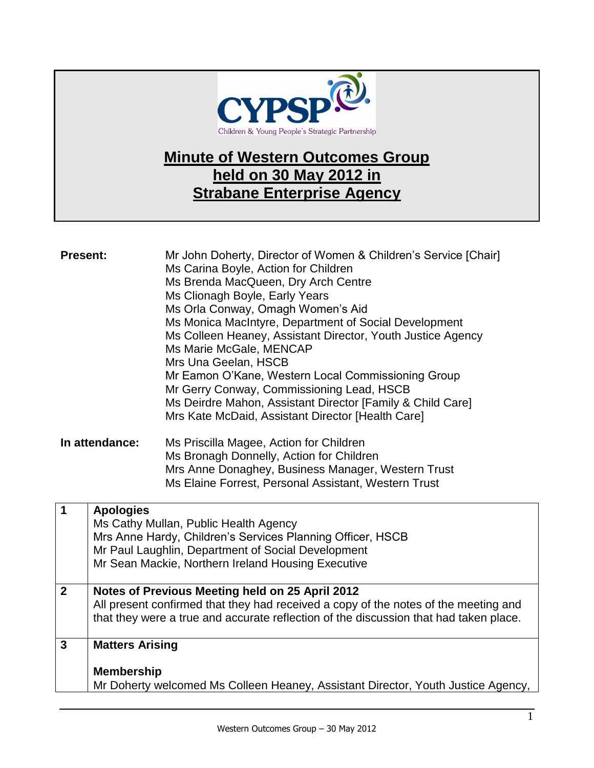

## **Minute of Western Outcomes Group held on 30 May 2012 in Strabane Enterprise Agency**

| <b>Present:</b> |                                             | Mr John Doherty, Director of Women & Children's Service [Chair]<br>Ms Carina Boyle, Action for Children<br>Ms Brenda MacQueen, Dry Arch Centre<br>Ms Clionagh Boyle, Early Years<br>Ms Orla Conway, Omagh Women's Aid<br>Ms Monica MacIntyre, Department of Social Development<br>Ms Colleen Heaney, Assistant Director, Youth Justice Agency<br>Ms Marie McGale, MENCAP<br>Mrs Una Geelan, HSCB<br>Mr Eamon O'Kane, Western Local Commissioning Group<br>Mr Gerry Conway, Commissioning Lead, HSCB<br>Ms Deirdre Mahon, Assistant Director [Family & Child Care]<br>Mrs Kate McDaid, Assistant Director [Health Care] |
|-----------------|---------------------------------------------|------------------------------------------------------------------------------------------------------------------------------------------------------------------------------------------------------------------------------------------------------------------------------------------------------------------------------------------------------------------------------------------------------------------------------------------------------------------------------------------------------------------------------------------------------------------------------------------------------------------------|
| In attendance:  |                                             | Ms Priscilla Magee, Action for Children<br>Ms Bronagh Donnelly, Action for Children<br>Mrs Anne Donaghey, Business Manager, Western Trust<br>Ms Elaine Forrest, Personal Assistant, Western Trust                                                                                                                                                                                                                                                                                                                                                                                                                      |
| $\mathbf 1$     | <b>Apologies</b>                            | Ms Cathy Mullan, Public Health Agency<br>Mrs Anne Hardy, Children's Services Planning Officer, HSCB<br>Mr Paul Laughlin, Department of Social Development<br>Mr Sean Mackie, Northern Ireland Housing Executive                                                                                                                                                                                                                                                                                                                                                                                                        |
| $\overline{2}$  |                                             | Notes of Previous Meeting held on 25 April 2012<br>All present confirmed that they had received a copy of the notes of the meeting and<br>that they were a true and accurate reflection of the discussion that had taken place.                                                                                                                                                                                                                                                                                                                                                                                        |
| $\mathbf{3}$    | <b>Matters Arising</b><br><b>Membership</b> | Mr Doherty welcomed Ms Colleen Heaney, Assistant Director, Youth Justice Agency,                                                                                                                                                                                                                                                                                                                                                                                                                                                                                                                                       |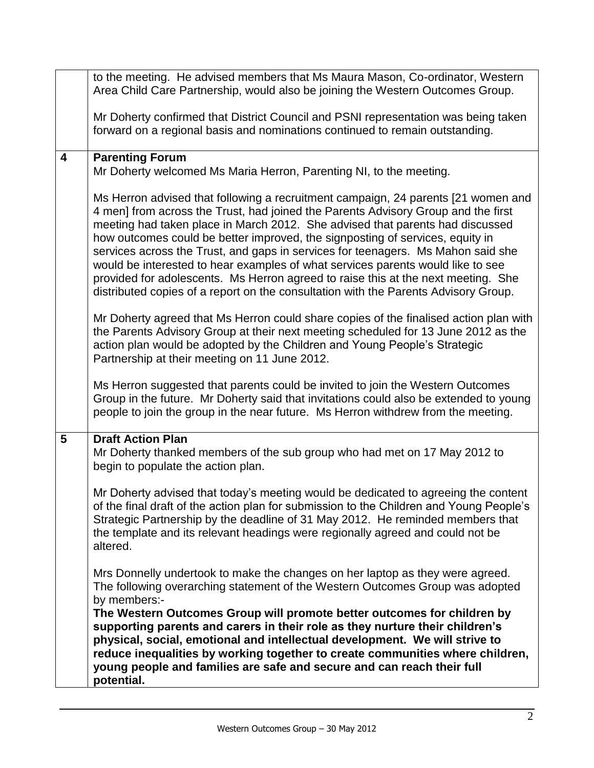|                         | to the meeting. He advised members that Ms Maura Mason, Co-ordinator, Western<br>Area Child Care Partnership, would also be joining the Western Outcomes Group.                                                                                                                                                                                                                                                                                                                                                                                                                                                                                                                             |
|-------------------------|---------------------------------------------------------------------------------------------------------------------------------------------------------------------------------------------------------------------------------------------------------------------------------------------------------------------------------------------------------------------------------------------------------------------------------------------------------------------------------------------------------------------------------------------------------------------------------------------------------------------------------------------------------------------------------------------|
|                         | Mr Doherty confirmed that District Council and PSNI representation was being taken<br>forward on a regional basis and nominations continued to remain outstanding.                                                                                                                                                                                                                                                                                                                                                                                                                                                                                                                          |
| $\overline{\mathbf{4}}$ | <b>Parenting Forum</b><br>Mr Doherty welcomed Ms Maria Herron, Parenting NI, to the meeting.                                                                                                                                                                                                                                                                                                                                                                                                                                                                                                                                                                                                |
|                         | Ms Herron advised that following a recruitment campaign, 24 parents [21 women and<br>4 men] from across the Trust, had joined the Parents Advisory Group and the first<br>meeting had taken place in March 2012. She advised that parents had discussed<br>how outcomes could be better improved, the signposting of services, equity in<br>services across the Trust, and gaps in services for teenagers. Ms Mahon said she<br>would be interested to hear examples of what services parents would like to see<br>provided for adolescents. Ms Herron agreed to raise this at the next meeting. She<br>distributed copies of a report on the consultation with the Parents Advisory Group. |
|                         | Mr Doherty agreed that Ms Herron could share copies of the finalised action plan with<br>the Parents Advisory Group at their next meeting scheduled for 13 June 2012 as the<br>action plan would be adopted by the Children and Young People's Strategic<br>Partnership at their meeting on 11 June 2012.                                                                                                                                                                                                                                                                                                                                                                                   |
|                         | Ms Herron suggested that parents could be invited to join the Western Outcomes<br>Group in the future. Mr Doherty said that invitations could also be extended to young<br>people to join the group in the near future. Ms Herron withdrew from the meeting.                                                                                                                                                                                                                                                                                                                                                                                                                                |
| 5                       | <b>Draft Action Plan</b><br>Mr Doherty thanked members of the sub group who had met on 17 May 2012 to<br>begin to populate the action plan.                                                                                                                                                                                                                                                                                                                                                                                                                                                                                                                                                 |
|                         | Mr Doherty advised that today's meeting would be dedicated to agreeing the content<br>of the final draft of the action plan for submission to the Children and Young People's<br>Strategic Partnership by the deadline of 31 May 2012. He reminded members that<br>the template and its relevant headings were regionally agreed and could not be<br>altered.                                                                                                                                                                                                                                                                                                                               |
|                         | Mrs Donnelly undertook to make the changes on her laptop as they were agreed.<br>The following overarching statement of the Western Outcomes Group was adopted<br>by members:-                                                                                                                                                                                                                                                                                                                                                                                                                                                                                                              |
|                         | The Western Outcomes Group will promote better outcomes for children by<br>supporting parents and carers in their role as they nurture their children's<br>physical, social, emotional and intellectual development. We will strive to<br>reduce inequalities by working together to create communities where children,<br>young people and families are safe and secure and can reach their full<br>potential.                                                                                                                                                                                                                                                                             |